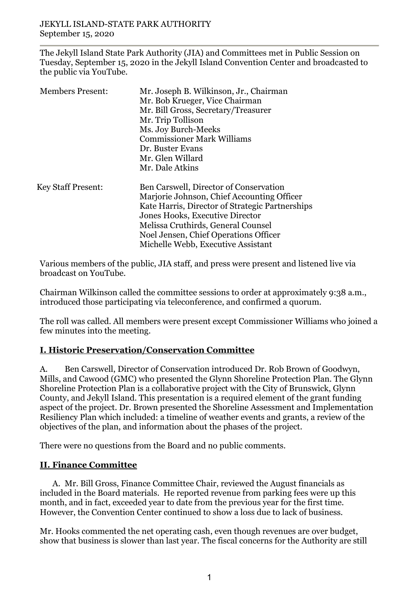The Jekyll Island State Park Authority (JIA) and Committees met in Public Session on Tuesday, September 15, 2020 in the Jekyll Island Convention Center and broadcasted to the public via YouTube.

| Mr. Trip Tollison<br>Ms. Joy Burch-Meeks                                                                                                                                                                                                              |  |
|-------------------------------------------------------------------------------------------------------------------------------------------------------------------------------------------------------------------------------------------------------|--|
|                                                                                                                                                                                                                                                       |  |
| Dr. Buster Evans<br>Mr. Glen Willard                                                                                                                                                                                                                  |  |
|                                                                                                                                                                                                                                                       |  |
| Ben Carswell, Director of Conservation                                                                                                                                                                                                                |  |
| Marjorie Johnson, Chief Accounting Officer<br>Kate Harris, Director of Strategic Partnerships<br>Jones Hooks, Executive Director<br>Melissa Cruthirds, General Counsel<br>Noel Jensen, Chief Operations Officer<br>Michelle Webb, Executive Assistant |  |
|                                                                                                                                                                                                                                                       |  |

Various members of the public, JIA staff, and press were present and listened live via broadcast on YouTube.

Chairman Wilkinson called the committee sessions to order at approximately 9:38 a.m., introduced those participating via teleconference, and confirmed a quorum.

The roll was called. All members were present except Commissioner Williams who joined a few minutes into the meeting.

# **I. Historic Preservation/Conservation Committee**

A. Ben Carswell, Director of Conservation introduced Dr. Rob Brown of Goodwyn, Mills, and Cawood (GMC) who presented the Glynn Shoreline Protection Plan. The Glynn Shoreline Protection Plan is a collaborative project with the City of Brunswick, Glynn County, and Jekyll Island. This presentation is a required element of the grant funding aspect of the project. Dr. Brown presented the Shoreline Assessment and Implementation Resiliency Plan which included: a timeline of weather events and grants, a review of the objectives of the plan, and information about the phases of the project.

There were no questions from the Board and no public comments.

# **II. Finance Committee**

A. Mr. Bill Gross, Finance Committee Chair, reviewed the August financials as included in the Board materials. He reported revenue from parking fees were up this month, and in fact, exceeded year to date from the previous year for the first time. However, the Convention Center continued to show a loss due to lack of business.

Mr. Hooks commented the net operating cash, even though revenues are over budget, show that business is slower than last year. The fiscal concerns for the Authority are still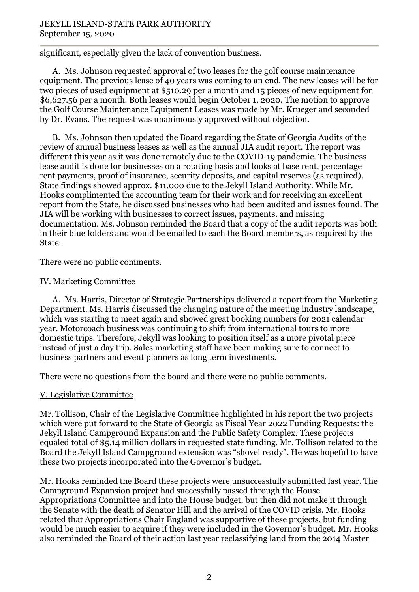significant, especially given the lack of convention business.

A. Ms. Johnson requested approval of two leases for the golf course maintenance equipment. The previous lease of 40 years was coming to an end. The new leases will be for two pieces of used equipment at \$510.29 per a month and 15 pieces of new equipment for \$6,627.56 per a month. Both leases would begin October 1, 2020. The motion to approve the Golf Course Maintenance Equipment Leases was made by Mr. Krueger and seconded by Dr. Evans. The request was unanimously approved without objection.

B. Ms. Johnson then updated the Board regarding the State of Georgia Audits of the review of annual business leases as well as the annual JIA audit report. The report was different this year as it was done remotely due to the COVID-19 pandemic. The business lease audit is done for businesses on a rotating basis and looks at base rent, percentage rent payments, proof of insurance, security deposits, and capital reserves (as required). State findings showed approx. \$11,000 due to the Jekyll Island Authority. While Mr. Hooks complimented the accounting team for their work and for receiving an excellent report from the State, he discussed businesses who had been audited and issues found. The JIA will be working with businesses to correct issues, payments, and missing documentation. Ms. Johnson reminded the Board that a copy of the audit reports was both in their blue folders and would be emailed to each the Board members, as required by the State.

There were no public comments.

### IV. Marketing Committee

A. Ms. Harris, Director of Strategic Partnerships delivered a report from the Marketing Department. Ms. Harris discussed the changing nature of the meeting industry landscape, which was starting to meet again and showed great booking numbers for 2021 calendar year. Motorcoach business was continuing to shift from international tours to more domestic trips. Therefore, Jekyll was looking to position itself as a more pivotal piece instead of just a day trip. Sales marketing staff have been making sure to connect to business partners and event planners as long term investments.

There were no questions from the board and there were no public comments.

## V. Legislative Committee

Mr. Tollison, Chair of the Legislative Committee highlighted in his report the two projects which were put forward to the State of Georgia as Fiscal Year 2022 Funding Requests: the Jekyll Island Campground Expansion and the Public Safety Complex. These projects equaled total of \$5.14 million dollars in requested state funding. Mr. Tollison related to the Board the Jekyll Island Campground extension was "shovel ready". He was hopeful to have these two projects incorporated into the Governor's budget.

Mr. Hooks reminded the Board these projects were unsuccessfully submitted last year. The Campground Expansion project had successfully passed through the House Appropriations Committee and into the House budget, but then did not make it through the Senate with the death of Senator Hill and the arrival of the COVID crisis. Mr. Hooks related that Appropriations Chair England was supportive of these projects, but funding would be much easier to acquire if they were included in the Governor's budget. Mr. Hooks also reminded the Board of their action last year reclassifying land from the 2014 Master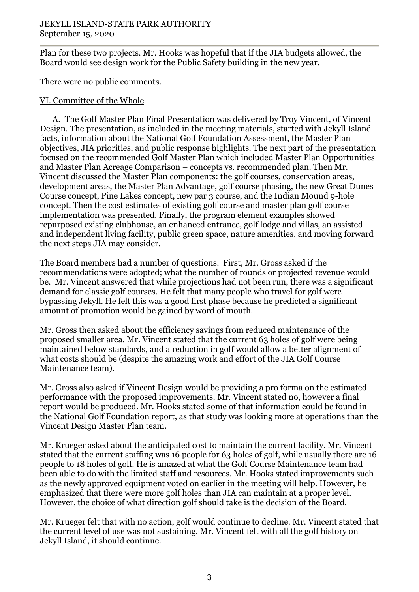Plan for these two projects. Mr. Hooks was hopeful that if the JIA budgets allowed, the Board would see design work for the Public Safety building in the new year.

There were no public comments.

# VI. Committee of the Whole

A. The Golf Master Plan Final Presentation was delivered by Troy Vincent, of Vincent Design. The presentation, as included in the meeting materials, started with Jekyll Island facts, information about the National Golf Foundation Assessment, the Master Plan objectives, JIA priorities, and public response highlights. The next part of the presentation focused on the recommended Golf Master Plan which included Master Plan Opportunities and Master Plan Acreage Comparison – concepts vs. recommended plan. Then Mr. Vincent discussed the Master Plan components: the golf courses, conservation areas, development areas, the Master Plan Advantage, golf course phasing, the new Great Dunes Course concept, Pine Lakes concept, new par 3 course, and the Indian Mound 9-hole concept. Then the cost estimates of existing golf course and master plan golf course implementation was presented. Finally, the program element examples showed repurposed existing clubhouse, an enhanced entrance, golf lodge and villas, an assisted and independent living facility, public green space, nature amenities, and moving forward the next steps JIA may consider.

The Board members had a number of questions. First, Mr. Gross asked if the recommendations were adopted; what the number of rounds or projected revenue would be. Mr. Vincent answered that while projections had not been run, there was a significant demand for classic golf courses. He felt that many people who travel for golf were bypassing Jekyll. He felt this was a good first phase because he predicted a significant amount of promotion would be gained by word of mouth.

Mr. Gross then asked about the efficiency savings from reduced maintenance of the proposed smaller area. Mr. Vincent stated that the current 63 holes of golf were being maintained below standards, and a reduction in golf would allow a better alignment of what costs should be (despite the amazing work and effort of the JIA Golf Course Maintenance team).

Mr. Gross also asked if Vincent Design would be providing a pro forma on the estimated performance with the proposed improvements. Mr. Vincent stated no, however a final report would be produced. Mr. Hooks stated some of that information could be found in the National Golf Foundation report, as that study was looking more at operations than the Vincent Design Master Plan team.

Mr. Krueger asked about the anticipated cost to maintain the current facility. Mr. Vincent stated that the current staffing was 16 people for 63 holes of golf, while usually there are 16 people to 18 holes of golf. He is amazed at what the Golf Course Maintenance team had been able to do with the limited staff and resources. Mr. Hooks stated improvements such as the newly approved equipment voted on earlier in the meeting will help. However, he emphasized that there were more golf holes than JIA can maintain at a proper level. However, the choice of what direction golf should take is the decision of the Board.

Mr. Krueger felt that with no action, golf would continue to decline. Mr. Vincent stated that the current level of use was not sustaining. Mr. Vincent felt with all the golf history on Jekyll Island, it should continue.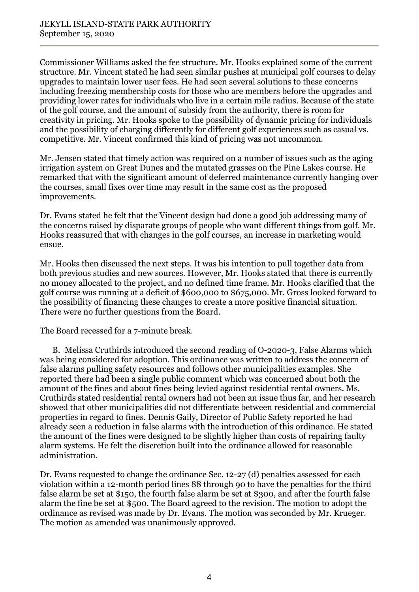Commissioner Williams asked the fee structure. Mr. Hooks explained some of the current structure. Mr. Vincent stated he had seen similar pushes at municipal golf courses to delay upgrades to maintain lower user fees. He had seen several solutions to these concerns including freezing membership costs for those who are members before the upgrades and providing lower rates for individuals who live in a certain mile radius. Because of the state of the golf course, and the amount of subsidy from the authority, there is room for creativity in pricing. Mr. Hooks spoke to the possibility of dynamic pricing for individuals and the possibility of charging differently for different golf experiences such as casual vs. competitive. Mr. Vincent confirmed this kind of pricing was not uncommon.

Mr. Jensen stated that timely action was required on a number of issues such as the aging irrigation system on Great Dunes and the mutated grasses on the Pine Lakes course. He remarked that with the significant amount of deferred maintenance currently hanging over the courses, small fixes over time may result in the same cost as the proposed improvements.

Dr. Evans stated he felt that the Vincent design had done a good job addressing many of the concerns raised by disparate groups of people who want different things from golf. Mr. Hooks reassured that with changes in the golf courses, an increase in marketing would ensue.

Mr. Hooks then discussed the next steps. It was his intention to pull together data from both previous studies and new sources. However, Mr. Hooks stated that there is currently no money allocated to the project, and no defined time frame. Mr. Hooks clarified that the golf course was running at a deficit of \$600,000 to \$675,000. Mr. Gross looked forward to the possibility of financing these changes to create a more positive financial situation. There were no further questions from the Board.

The Board recessed for a 7-minute break.

B. Melissa Cruthirds introduced the second reading of O-2020-3, False Alarms which was being considered for adoption. This ordinance was written to address the concern of false alarms pulling safety resources and follows other municipalities examples. She reported there had been a single public comment which was concerned about both the amount of the fines and about fines being levied against residential rental owners. Ms. Cruthirds stated residential rental owners had not been an issue thus far, and her research showed that other municipalities did not differentiate between residential and commercial properties in regard to fines. Dennis Gaily, Director of Public Safety reported he had already seen a reduction in false alarms with the introduction of this ordinance. He stated the amount of the fines were designed to be slightly higher than costs of repairing faulty alarm systems. He felt the discretion built into the ordinance allowed for reasonable administration.

Dr. Evans requested to change the ordinance Sec. 12-27 (d) penalties assessed for each violation within a 12-month period lines 88 through 90 to have the penalties for the third false alarm be set at \$150, the fourth false alarm be set at \$300, and after the fourth false alarm the fine be set at \$500. The Board agreed to the revision. The motion to adopt the ordinance as revised was made by Dr. Evans. The motion was seconded by Mr. Krueger. The motion as amended was unanimously approved.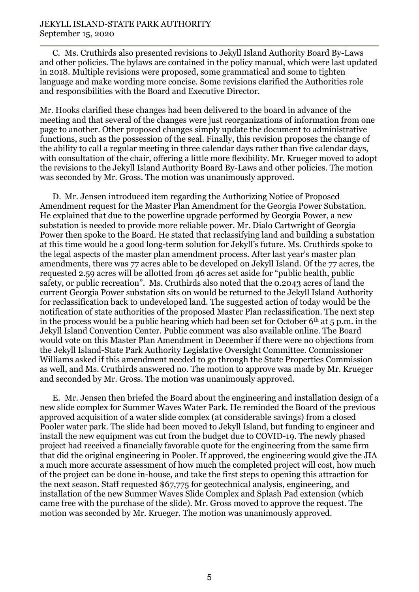C. Ms. Cruthirds also presented revisions to Jekyll Island Authority Board By-Laws and other policies. The bylaws are contained in the policy manual, which were last updated in 2018. Multiple revisions were proposed, some grammatical and some to tighten language and make wording more concise. Some revisions clarified the Authorities role and responsibilities with the Board and Executive Director.

Mr. Hooks clarified these changes had been delivered to the board in advance of the meeting and that several of the changes were just reorganizations of information from one page to another. Other proposed changes simply update the document to administrative functions, such as the possession of the seal. Finally, this revision proposes the change of the ability to call a regular meeting in three calendar days rather than five calendar days, with consultation of the chair, offering a little more flexibility. Mr. Krueger moved to adopt the revisions to the Jekyll Island Authority Board By-Laws and other policies. The motion was seconded by Mr. Gross. The motion was unanimously approved.

D. Mr. Jensen introduced item regarding the Authorizing Notice of Proposed Amendment request for the Master Plan Amendment for the Georgia Power Substation. He explained that due to the powerline upgrade performed by Georgia Power, a new substation is needed to provide more reliable power. Mr. Dialo Cartwright of Georgia Power then spoke to the Board. He stated that reclassifying land and building a substation at this time would be a good long-term solution for Jekyll's future. Ms. Cruthirds spoke to the legal aspects of the master plan amendment process. After last year's master plan amendments, there was 77 acres able to be developed on Jekyll Island. Of the 77 acres, the requested 2.59 acres will be allotted from 46 acres set aside for "public health, public safety, or public recreation". Ms. Cruthirds also noted that the 0.2043 acres of land the current Georgia Power substation sits on would be returned to the Jekyll Island Authority for reclassification back to undeveloped land. The suggested action of today would be the notification of state authorities of the proposed Master Plan reclassification. The next step in the process would be a public hearing which had been set for October  $6<sup>th</sup>$  at 5 p.m. in the Jekyll Island Convention Center. Public comment was also available online. The Board would vote on this Master Plan Amendment in December if there were no objections from the Jekyll Island-State Park Authority Legislative Oversight Committee. Commissioner Williams asked if this amendment needed to go through the State Properties Commission as well, and Ms. Cruthirds answered no. The motion to approve was made by Mr. Krueger and seconded by Mr. Gross. The motion was unanimously approved.

E. Mr. Jensen then briefed the Board about the engineering and installation design of a new slide complex for Summer Waves Water Park. He reminded the Board of the previous approved acquisition of a water slide complex (at considerable savings) from a closed Pooler water park. The slide had been moved to Jekyll Island, but funding to engineer and install the new equipment was cut from the budget due to COVID-19. The newly phased project had received a financially favorable quote for the engineering from the same firm that did the original engineering in Pooler. If approved, the engineering would give the JIA a much more accurate assessment of how much the completed project will cost, how much of the project can be done in-house, and take the first steps to opening this attraction for the next season. Staff requested \$67,775 for geotechnical analysis, engineering, and installation of the new Summer Waves Slide Complex and Splash Pad extension (which came free with the purchase of the slide). Mr. Gross moved to approve the request. The motion was seconded by Mr. Krueger. The motion was unanimously approved.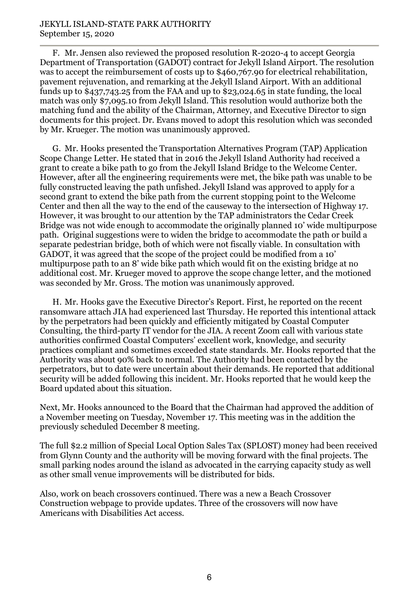F. Mr. Jensen also reviewed the proposed resolution R-2020-4 to accept Georgia Department of Transportation (GADOT) contract for Jekyll Island Airport. The resolution was to accept the reimbursement of costs up to \$460,767.90 for electrical rehabilitation, pavement rejuvenation, and remarking at the Jekyll Island Airport. With an additional funds up to \$437,743.25 from the FAA and up to \$23,024.65 in state funding, the local match was only \$7,095.10 from Jekyll Island. This resolution would authorize both the matching fund and the ability of the Chairman, Attorney, and Executive Director to sign documents for this project. Dr. Evans moved to adopt this resolution which was seconded by Mr. Krueger. The motion was unanimously approved.

G. Mr. Hooks presented the Transportation Alternatives Program (TAP) Application Scope Change Letter. He stated that in 2016 the Jekyll Island Authority had received a grant to create a bike path to go from the Jekyll Island Bridge to the Welcome Center. However, after all the engineering requirements were met, the bike path was unable to be fully constructed leaving the path unfished. Jekyll Island was approved to apply for a second grant to extend the bike path from the current stopping point to the Welcome Center and then all the way to the end of the causeway to the intersection of Highway 17. However, it was brought to our attention by the TAP administrators the Cedar Creek Bridge was not wide enough to accommodate the originally planned 10' wide multipurpose path. Original suggestions were to widen the bridge to accommodate the path or build a separate pedestrian bridge, both of which were not fiscally viable. In consultation with GADOT, it was agreed that the scope of the project could be modified from a 10' multipurpose path to an 8' wide bike path which would fit on the existing bridge at no additional cost. Mr. Krueger moved to approve the scope change letter, and the motioned was seconded by Mr. Gross. The motion was unanimously approved.

H. Mr. Hooks gave the Executive Director's Report. First, he reported on the recent ransomware attach JIA had experienced last Thursday. He reported this intentional attack by the perpetrators had been quickly and efficiently mitigated by Coastal Computer Consulting, the third-party IT vendor for the JIA. A recent Zoom call with various state authorities confirmed Coastal Computers' excellent work, knowledge, and security practices compliant and sometimes exceeded state standards. Mr. Hooks reported that the Authority was about 90% back to normal. The Authority had been contacted by the perpetrators, but to date were uncertain about their demands. He reported that additional security will be added following this incident. Mr. Hooks reported that he would keep the Board updated about this situation.

Next, Mr. Hooks announced to the Board that the Chairman had approved the addition of a November meeting on Tuesday, November 17. This meeting was in the addition the previously scheduled December 8 meeting.

The full \$2.2 million of Special Local Option Sales Tax (SPLOST) money had been received from Glynn County and the authority will be moving forward with the final projects. The small parking nodes around the island as advocated in the carrying capacity study as well as other small venue improvements will be distributed for bids.

Also, work on beach crossovers continued. There was a new a Beach Crossover Construction webpage to provide updates. Three of the crossovers will now have Americans with Disabilities Act access.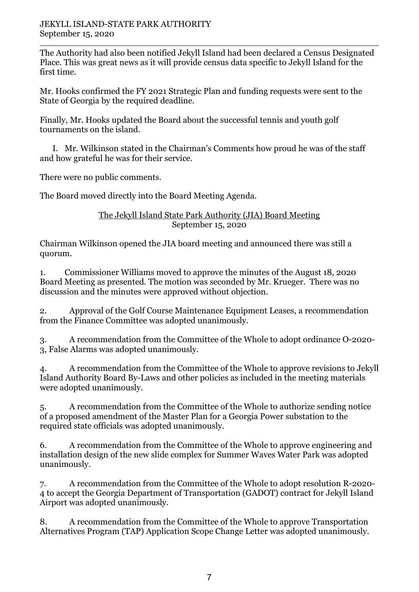The Authority had also been notified Jekyll Island had been declared a Census Designated Place. This was great news as it will provide census data specific to Jekyll Island for the first time.

Mr. Hooks confirmed the FY 2021 Strategic Plan and funding requests were sent to the State of Georgia by the required deadline.

Finally, Mr. Hooks updated the Board about the successful tennis and youth golf tournaments on the island.

I. Mr. Wilkinson stated in the Chairman's Comments how proud he was of the staff and how grateful he was for their service.

There were no public comments.

The Board moved directly into the Board Meeting Agenda.

## The Jekyll Island State Park Authority (JIA) Board Meeting September 15, 2020

Chairman Wilkinson opened the JIA board meeting and announced there was still a quorum.

1. Commissioner Williams moved to approve the minutes of the August 18, 2020 Board Meeting as presented. The motion was seconded by Mr. Krueger. There was no discussion and the minutes were approved without objection.

2. Approval of the Golf Course Maintenance Equipment Leases, a recommendation from the Finance Committee was adopted unanimously.

3. A recommendation from the Committee of the Whole to adopt ordinance O-2020- 3, False Alarms was adopted unanimously.

4. A recommendation from the Committee of the Whole to approve revisions to Jekyll Island Authority Board By-Laws and other policies as included in the meeting materials were adopted unanimously.

5. A recommendation from the Committee of the Whole to authorize sending notice of a proposed amendment of the Master Plan for a Georgia Power substation to the required state officials was adopted unanimously.

6. A recommendation from the Committee of the Whole to approve engineering and installation design of the new slide complex for Summer Waves Water Park was adopted unanimously.

7. A recommendation from the Committee of the Whole to adopt resolution R-2020- 4 to accept the Georgia Department of Transportation (GADOT) contract for Jekyll Island Airport was adopted unanimously.

8. A recommendation from the Committee of the Whole to approve Transportation Alternatives Program (TAP) Application Scope Change Letter was adopted unanimously.